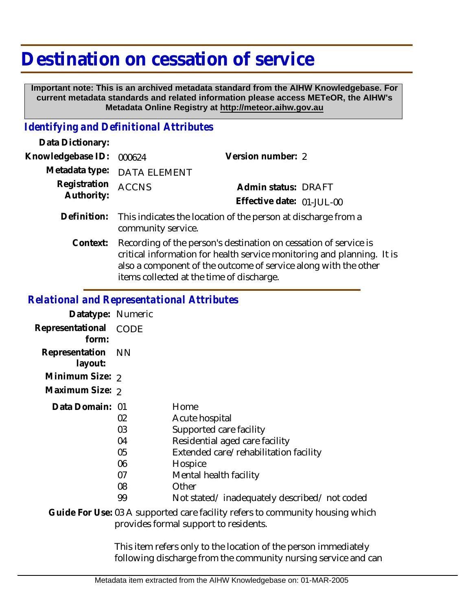## **Destination on cessation of service**

 **Important note: This is an archived metadata standard from the AIHW Knowledgebase. For current metadata standards and related information please access METeOR, the AIHW's Metadata Online Registry at http://meteor.aihw.gov.au**

## *Identifying and Definitional Attributes*

| Data Dictionary:           |                                                                                                                                                                                                                                                            |                           |
|----------------------------|------------------------------------------------------------------------------------------------------------------------------------------------------------------------------------------------------------------------------------------------------------|---------------------------|
| Knowledgebase ID:          | 000624                                                                                                                                                                                                                                                     | Version number: 2         |
|                            | Metadata type: DATA ELEMENT                                                                                                                                                                                                                                |                           |
| Registration<br>Authority: | <b>ACCNS</b>                                                                                                                                                                                                                                               | Admin status: DRAFT       |
|                            |                                                                                                                                                                                                                                                            | Effective date: 01-JUL-00 |
| Definition:                | This indicates the location of the person at discharge from a<br>community service.                                                                                                                                                                        |                           |
| Context:                   | Recording of the person's destination on cessation of service is<br>critical information for health service monitoring and planning. It is<br>also a component of the outcome of service along with the other<br>items collected at the time of discharge. |                           |

## *Relational and Representational Attributes*

| Datatype: Numeric                                                             |             |                                             |  |
|-------------------------------------------------------------------------------|-------------|---------------------------------------------|--|
| Representational<br>form:                                                     | <b>CODE</b> |                                             |  |
| Representation<br>layout:                                                     | <b>NN</b>   |                                             |  |
| Minimum Size: 2                                                               |             |                                             |  |
| Maximum Size: 2                                                               |             |                                             |  |
| Data Domain: 01                                                               |             | Home                                        |  |
|                                                                               | 02          | Acute hospital                              |  |
|                                                                               | 03          | Supported care facility                     |  |
|                                                                               | 04          | Residential aged care facility              |  |
|                                                                               | 05          | Extended care/rehabilitation facility       |  |
|                                                                               | 06          | Hospice                                     |  |
|                                                                               | 07          | Mental health facility                      |  |
|                                                                               | 08          | Other                                       |  |
|                                                                               | 99          | Not stated/inadequately described/not coded |  |
| Guide For Use: 03 A supported care facility refers to community bousing which |             |                                             |  |

Guide For Use: 03 A supported care facility refers to community housing which provides formal support to residents.

> This item refers only to the location of the person immediately following discharge from the community nursing service and can